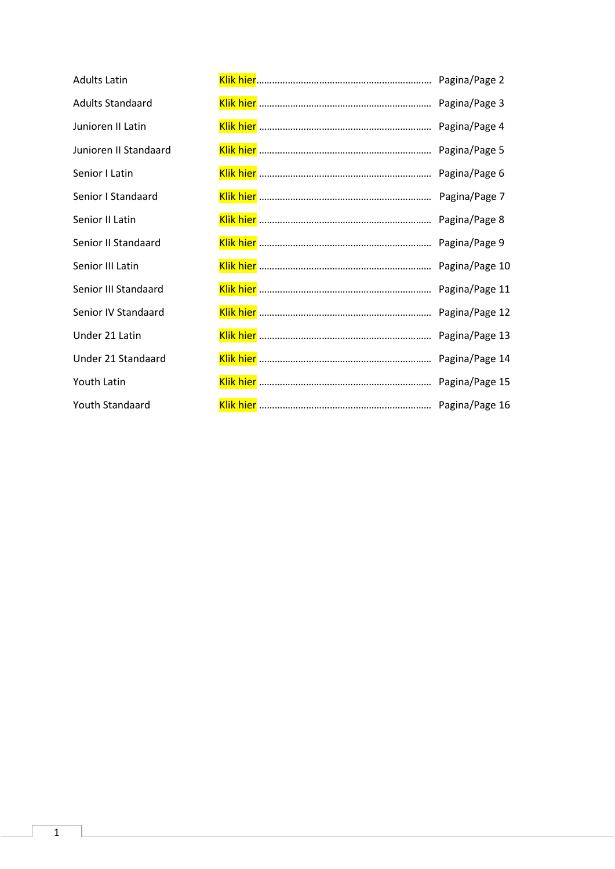<span id="page-0-0"></span>

| <b>Adults Latin</b>     |  |
|-------------------------|--|
| <b>Adults Standaard</b> |  |
| Junioren II Latin       |  |
| Junioren II Standaard   |  |
| Senior I Latin          |  |
| Senior I Standaard      |  |
| Senior II Latin         |  |
| Senior II Standaard     |  |
| Senior III Latin        |  |
| Senior III Standaard    |  |
| Senior IV Standaard     |  |
| Under 21 Latin          |  |
| Under 21 Standaard      |  |
| Youth Latin             |  |
| Youth Standaard         |  |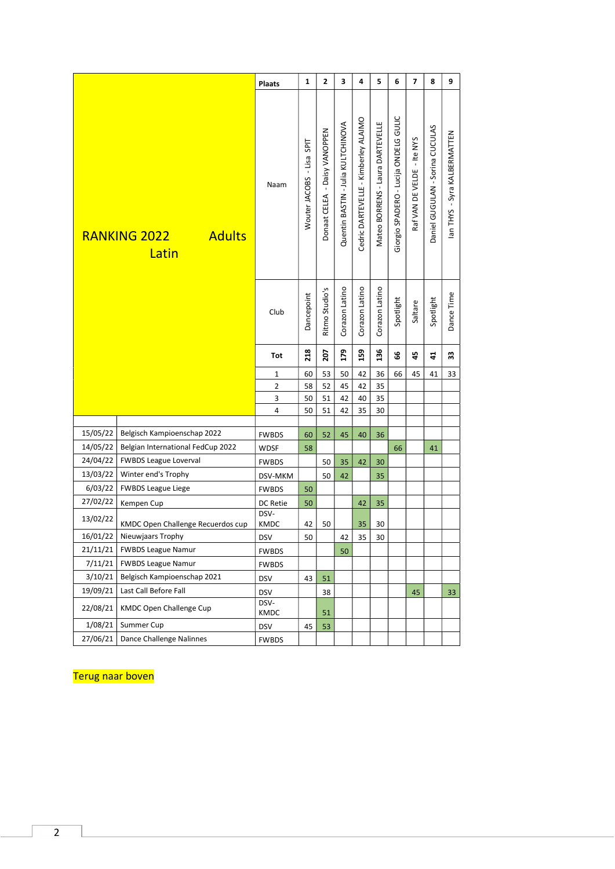<span id="page-1-0"></span>

| Giorgio SPADERO - Lucija ONDELG GULIC<br>Cedric DARTEVELLE - Kimberley ALAIMO<br>Quentin BASTIN - Julia KULTCHINOVA<br>Mateo BORRENS - Laura DARTEVELLE<br>Daniel GUGULAN - Sorina CUCULAS<br>Donaat CELEA - Daisy VANOPPEN<br>lan THYS - Syra KALBERMATTEN<br>Raf VAN DE VELDE - Ite NYS<br>Wouter JACOBS - Lisa SPIT<br>Naam<br>RANKING 2022<br><b>Adults</b><br>Latin<br>Corazon Latino<br>Corazon Latino<br>Corazon Latino<br>Ritmo Studio's<br>Dance Time<br>Dancepoint<br>Spotlight<br>Spotlight<br>Saltare<br>Club<br>218<br>179<br>136<br>159<br>207<br>99<br>45<br>33<br>$\ddot{4}$<br>Tot<br>50<br>42<br>60<br>53<br>36<br>45<br>33<br>66<br>41<br>1<br>52<br>45<br>42<br>35<br>$\overline{2}$<br>58<br>3<br>50<br>51<br>42<br>40<br>35<br>4<br>50<br>51<br>42<br>35<br>30<br>15/05/22<br>Belgisch Kampioenschap 2022<br>60<br>52<br><b>FWBDS</b><br>45<br>40<br>36<br>14/05/22<br>Belgian International FedCup 2022<br>58<br>41<br><b>WDSF</b><br>66<br>24/04/22<br><b>FWBDS League Loverval</b><br><b>FWBDS</b><br>50<br>35<br>42<br>30<br>13/03/22<br>Winter end's Trophy<br>DSV-MKM<br>50<br>42<br>35<br>6/03/22<br><b>FWBDS League Liege</b><br><b>FWBDS</b><br>50<br>27/02/22<br>50<br>Kempen Cup<br>DC Retie<br>42<br>35<br>DSV-<br>13/02/22<br>KMDC Open Challenge Recuerdos cup<br>KMDC<br>42<br>50<br>35<br>30<br>16/01/22 Nieuwjaars Trophy<br>DSV<br>50<br>42<br>35<br>30<br>21/11/21<br><b>FWBDS League Namur</b><br>50<br><b>FWBDS</b><br>7/11/21<br><b>FWBDS League Namur</b><br><b>FWBDS</b><br>3/10/21<br>Belgisch Kampioenschap 2021<br><b>DSV</b><br>43<br>51<br>19/09/21<br>Last Call Before Fall<br><b>DSV</b><br>38<br>45<br>33<br>DSV-<br>22/08/21<br><b>KMDC Open Challenge Cup</b><br>KMDC<br>51<br>1/08/21<br>Summer Cup<br>53<br><b>DSV</b><br>45<br>27/06/21<br>Dance Challenge Nalinnes<br><b>FWBDS</b> |  | <b>Plaats</b> | 1 | $\overline{2}$ | 3 | 4 | 5 | 6 | $\overline{ }$ | 8 | 9 |
|------------------------------------------------------------------------------------------------------------------------------------------------------------------------------------------------------------------------------------------------------------------------------------------------------------------------------------------------------------------------------------------------------------------------------------------------------------------------------------------------------------------------------------------------------------------------------------------------------------------------------------------------------------------------------------------------------------------------------------------------------------------------------------------------------------------------------------------------------------------------------------------------------------------------------------------------------------------------------------------------------------------------------------------------------------------------------------------------------------------------------------------------------------------------------------------------------------------------------------------------------------------------------------------------------------------------------------------------------------------------------------------------------------------------------------------------------------------------------------------------------------------------------------------------------------------------------------------------------------------------------------------------------------------------------------------------------------------------------------------------------------------------------------------------------------------------------------------------|--|---------------|---|----------------|---|---|---|---|----------------|---|---|
|                                                                                                                                                                                                                                                                                                                                                                                                                                                                                                                                                                                                                                                                                                                                                                                                                                                                                                                                                                                                                                                                                                                                                                                                                                                                                                                                                                                                                                                                                                                                                                                                                                                                                                                                                                                                                                                |  |               |   |                |   |   |   |   |                |   |   |
|                                                                                                                                                                                                                                                                                                                                                                                                                                                                                                                                                                                                                                                                                                                                                                                                                                                                                                                                                                                                                                                                                                                                                                                                                                                                                                                                                                                                                                                                                                                                                                                                                                                                                                                                                                                                                                                |  |               |   |                |   |   |   |   |                |   |   |
|                                                                                                                                                                                                                                                                                                                                                                                                                                                                                                                                                                                                                                                                                                                                                                                                                                                                                                                                                                                                                                                                                                                                                                                                                                                                                                                                                                                                                                                                                                                                                                                                                                                                                                                                                                                                                                                |  |               |   |                |   |   |   |   |                |   |   |
|                                                                                                                                                                                                                                                                                                                                                                                                                                                                                                                                                                                                                                                                                                                                                                                                                                                                                                                                                                                                                                                                                                                                                                                                                                                                                                                                                                                                                                                                                                                                                                                                                                                                                                                                                                                                                                                |  |               |   |                |   |   |   |   |                |   |   |
|                                                                                                                                                                                                                                                                                                                                                                                                                                                                                                                                                                                                                                                                                                                                                                                                                                                                                                                                                                                                                                                                                                                                                                                                                                                                                                                                                                                                                                                                                                                                                                                                                                                                                                                                                                                                                                                |  |               |   |                |   |   |   |   |                |   |   |
|                                                                                                                                                                                                                                                                                                                                                                                                                                                                                                                                                                                                                                                                                                                                                                                                                                                                                                                                                                                                                                                                                                                                                                                                                                                                                                                                                                                                                                                                                                                                                                                                                                                                                                                                                                                                                                                |  |               |   |                |   |   |   |   |                |   |   |
|                                                                                                                                                                                                                                                                                                                                                                                                                                                                                                                                                                                                                                                                                                                                                                                                                                                                                                                                                                                                                                                                                                                                                                                                                                                                                                                                                                                                                                                                                                                                                                                                                                                                                                                                                                                                                                                |  |               |   |                |   |   |   |   |                |   |   |
|                                                                                                                                                                                                                                                                                                                                                                                                                                                                                                                                                                                                                                                                                                                                                                                                                                                                                                                                                                                                                                                                                                                                                                                                                                                                                                                                                                                                                                                                                                                                                                                                                                                                                                                                                                                                                                                |  |               |   |                |   |   |   |   |                |   |   |
|                                                                                                                                                                                                                                                                                                                                                                                                                                                                                                                                                                                                                                                                                                                                                                                                                                                                                                                                                                                                                                                                                                                                                                                                                                                                                                                                                                                                                                                                                                                                                                                                                                                                                                                                                                                                                                                |  |               |   |                |   |   |   |   |                |   |   |
|                                                                                                                                                                                                                                                                                                                                                                                                                                                                                                                                                                                                                                                                                                                                                                                                                                                                                                                                                                                                                                                                                                                                                                                                                                                                                                                                                                                                                                                                                                                                                                                                                                                                                                                                                                                                                                                |  |               |   |                |   |   |   |   |                |   |   |
|                                                                                                                                                                                                                                                                                                                                                                                                                                                                                                                                                                                                                                                                                                                                                                                                                                                                                                                                                                                                                                                                                                                                                                                                                                                                                                                                                                                                                                                                                                                                                                                                                                                                                                                                                                                                                                                |  |               |   |                |   |   |   |   |                |   |   |
|                                                                                                                                                                                                                                                                                                                                                                                                                                                                                                                                                                                                                                                                                                                                                                                                                                                                                                                                                                                                                                                                                                                                                                                                                                                                                                                                                                                                                                                                                                                                                                                                                                                                                                                                                                                                                                                |  |               |   |                |   |   |   |   |                |   |   |
|                                                                                                                                                                                                                                                                                                                                                                                                                                                                                                                                                                                                                                                                                                                                                                                                                                                                                                                                                                                                                                                                                                                                                                                                                                                                                                                                                                                                                                                                                                                                                                                                                                                                                                                                                                                                                                                |  |               |   |                |   |   |   |   |                |   |   |
|                                                                                                                                                                                                                                                                                                                                                                                                                                                                                                                                                                                                                                                                                                                                                                                                                                                                                                                                                                                                                                                                                                                                                                                                                                                                                                                                                                                                                                                                                                                                                                                                                                                                                                                                                                                                                                                |  |               |   |                |   |   |   |   |                |   |   |
|                                                                                                                                                                                                                                                                                                                                                                                                                                                                                                                                                                                                                                                                                                                                                                                                                                                                                                                                                                                                                                                                                                                                                                                                                                                                                                                                                                                                                                                                                                                                                                                                                                                                                                                                                                                                                                                |  |               |   |                |   |   |   |   |                |   |   |
|                                                                                                                                                                                                                                                                                                                                                                                                                                                                                                                                                                                                                                                                                                                                                                                                                                                                                                                                                                                                                                                                                                                                                                                                                                                                                                                                                                                                                                                                                                                                                                                                                                                                                                                                                                                                                                                |  |               |   |                |   |   |   |   |                |   |   |
|                                                                                                                                                                                                                                                                                                                                                                                                                                                                                                                                                                                                                                                                                                                                                                                                                                                                                                                                                                                                                                                                                                                                                                                                                                                                                                                                                                                                                                                                                                                                                                                                                                                                                                                                                                                                                                                |  |               |   |                |   |   |   |   |                |   |   |
|                                                                                                                                                                                                                                                                                                                                                                                                                                                                                                                                                                                                                                                                                                                                                                                                                                                                                                                                                                                                                                                                                                                                                                                                                                                                                                                                                                                                                                                                                                                                                                                                                                                                                                                                                                                                                                                |  |               |   |                |   |   |   |   |                |   |   |
|                                                                                                                                                                                                                                                                                                                                                                                                                                                                                                                                                                                                                                                                                                                                                                                                                                                                                                                                                                                                                                                                                                                                                                                                                                                                                                                                                                                                                                                                                                                                                                                                                                                                                                                                                                                                                                                |  |               |   |                |   |   |   |   |                |   |   |
|                                                                                                                                                                                                                                                                                                                                                                                                                                                                                                                                                                                                                                                                                                                                                                                                                                                                                                                                                                                                                                                                                                                                                                                                                                                                                                                                                                                                                                                                                                                                                                                                                                                                                                                                                                                                                                                |  |               |   |                |   |   |   |   |                |   |   |
|                                                                                                                                                                                                                                                                                                                                                                                                                                                                                                                                                                                                                                                                                                                                                                                                                                                                                                                                                                                                                                                                                                                                                                                                                                                                                                                                                                                                                                                                                                                                                                                                                                                                                                                                                                                                                                                |  |               |   |                |   |   |   |   |                |   |   |
|                                                                                                                                                                                                                                                                                                                                                                                                                                                                                                                                                                                                                                                                                                                                                                                                                                                                                                                                                                                                                                                                                                                                                                                                                                                                                                                                                                                                                                                                                                                                                                                                                                                                                                                                                                                                                                                |  |               |   |                |   |   |   |   |                |   |   |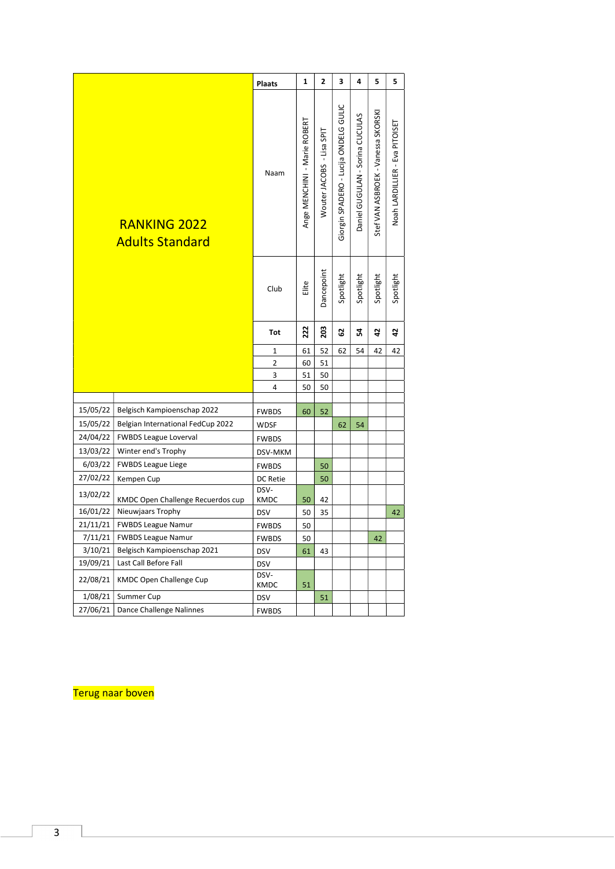<span id="page-2-0"></span>

|                      |                                                 | <b>Plaats</b>            | 1                            | $\overline{2}$               | 3                                     | 4                               | 5                                  | 5                              |
|----------------------|-------------------------------------------------|--------------------------|------------------------------|------------------------------|---------------------------------------|---------------------------------|------------------------------------|--------------------------------|
|                      | <b>RANKING 2022</b><br><b>Adults Standard</b>   | Naam                     | Ange MENCHINI - Marie ROBERT | - Lisa SPIT<br>Wouter JACOBS | Giorgin SPADERO - Lucija ONDELG GULIC | Daniel GUGULAN - Sorina CUCULAS | Stef VAN ASBROEK - Vanessa SKORSKI | Noah LARDILLIER - Eva PITOISET |
|                      |                                                 | Club                     | Elite                        | Dancepoint                   | Spotlight                             | Spotlight                       | Spotlight                          | Spotlight                      |
|                      |                                                 | Tot                      | 222                          | 203                          | 29                                    | 24                              | $\overline{a}$                     | 42                             |
|                      |                                                 | 1                        | 61                           | 52                           | 62                                    | 54                              | 42                                 | 42                             |
|                      |                                                 | 2                        | 60                           | 51                           |                                       |                                 |                                    |                                |
|                      |                                                 | 3                        | 51                           | 50                           |                                       |                                 |                                    |                                |
|                      |                                                 | 4                        | 50                           | 50                           |                                       |                                 |                                    |                                |
|                      |                                                 |                          |                              |                              |                                       |                                 |                                    |                                |
| 15/05/22             | Belgisch Kampioenschap 2022                     | <b>FWBDS</b>             | 60                           | 52                           |                                       |                                 |                                    |                                |
| 15/05/22             | Belgian International FedCup 2022               | WDSF                     |                              |                              | 62                                    | 54                              |                                    |                                |
| 24/04/22             | <b>FWBDS League Loverval</b>                    | <b>FWBDS</b>             |                              |                              |                                       |                                 |                                    |                                |
| 13/03/22             | Winter end's Trophy                             | DSV-MKM                  |                              |                              |                                       |                                 |                                    |                                |
| 6/03/22              | <b>FWBDS League Liege</b>                       | <b>FWBDS</b>             |                              | 50                           |                                       |                                 |                                    |                                |
| 27/02/22<br>13/02/22 | Kempen Cup<br>KMDC Open Challenge Recuerdos cup | DC Retie<br>DSV-<br>KMDC | 50                           | 50<br>42                     |                                       |                                 |                                    |                                |
| 16/01/22             | Nieuwjaars Trophy                               | <b>DSV</b>               | 50                           | 35                           |                                       |                                 |                                    | 42                             |
| 21/11/21             | <b>FWBDS League Namur</b>                       | <b>FWBDS</b>             | 50                           |                              |                                       |                                 |                                    |                                |
| 7/11/21              | <b>FWBDS League Namur</b>                       | <b>FWBDS</b>             | 50                           |                              |                                       |                                 | 42                                 |                                |
| 3/10/21              | Belgisch Kampioenschap 2021                     | <b>DSV</b>               | 61                           | 43                           |                                       |                                 |                                    |                                |
| 19/09/21             | Last Call Before Fall                           | <b>DSV</b>               |                              |                              |                                       |                                 |                                    |                                |
| 22/08/21             | KMDC Open Challenge Cup                         | DSV-<br>KMDC             | 51                           |                              |                                       |                                 |                                    |                                |
| 1/08/21              | Summer Cup                                      | DSV                      |                              | 51                           |                                       |                                 |                                    |                                |
| 27/06/21             | Dance Challenge Nalinnes                        | <b>FWBDS</b>             |                              |                              |                                       |                                 |                                    |                                |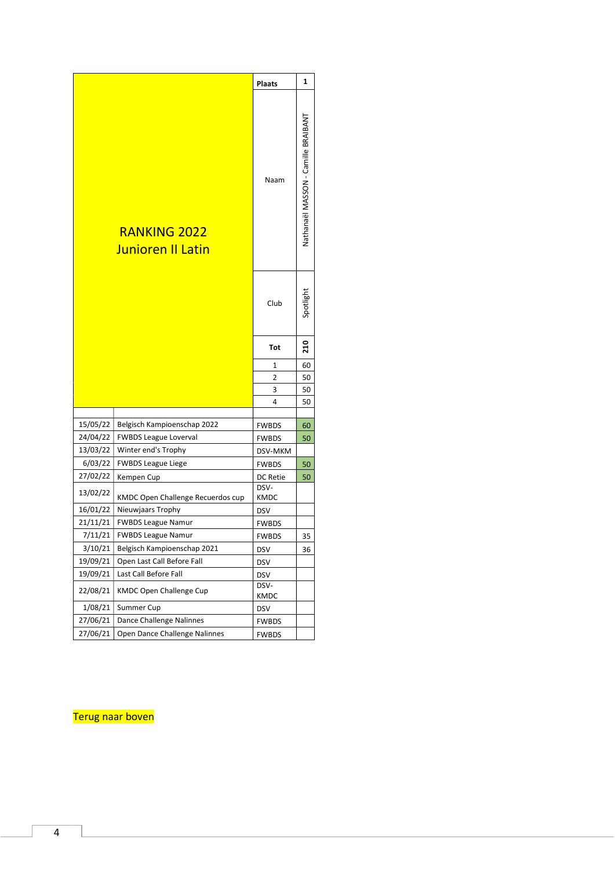<span id="page-3-0"></span>

|                      |                                                     | <b>Plaats</b>           | 1                                   |
|----------------------|-----------------------------------------------------|-------------------------|-------------------------------------|
|                      | <b>RANKING 2022</b><br>Junioren II Latin            | Naam                    | Nathanaël MASSON - Camille BRAIBANT |
|                      |                                                     | Club                    | Spotlight                           |
|                      |                                                     | <b>Tot</b>              | 210                                 |
|                      |                                                     | 1                       | 60                                  |
|                      |                                                     | 2                       | 50                                  |
|                      |                                                     | 3                       | 50                                  |
|                      |                                                     | 4                       | 50                                  |
|                      |                                                     |                         |                                     |
| 15/05/22<br>24/04/22 | Belgisch Kampioenschap 2022                         | <b>FWBDS</b>            | 60                                  |
| 13/03/22             | <b>FWBDS League Loverval</b><br>Winter end's Trophy | <b>FWBDS</b>            | 50                                  |
| 6/03/22              | <b>FWBDS League Liege</b>                           | DSV-MKM<br><b>FWBDS</b> |                                     |
| 27/02/22             | Kempen Cup                                          | DC Retie                | 50<br>50                            |
|                      |                                                     | DSV-                    |                                     |
| 13/02/22             | KMDC Open Challenge Recuerdos cup                   | KMDC                    |                                     |
| 16/01/22             | Nieuwjaars Trophy                                   | <b>DSV</b>              |                                     |
| 21/11/21             | <b>FWBDS League Namur</b>                           | <b>FWBDS</b>            |                                     |
| 7/11/21              | <b>FWBDS League Namur</b>                           | <b>FWBDS</b>            | 35                                  |
| 3/10/21              | Belgisch Kampioenschap 2021                         | <b>DSV</b>              | 36                                  |
| 19/09/21             | Open Last Call Before Fall                          | <b>DSV</b>              |                                     |
| 19/09/21             | Last Call Before Fall                               | <b>DSV</b>              |                                     |
|                      |                                                     |                         |                                     |
| 22/08/21             | KMDC Open Challenge Cup                             | DSV-<br>KMDC            |                                     |
| 1/08/21              | Summer Cup                                          | <b>DSV</b>              |                                     |
| 27/06/21<br>27/06/21 | Dance Challenge Nalinnes                            | <b>FWBDS</b>            |                                     |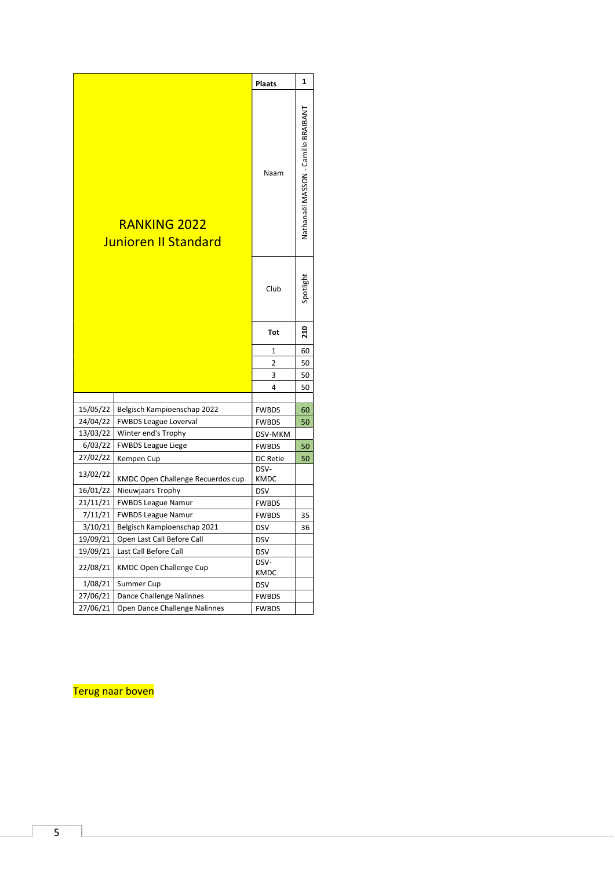<span id="page-4-0"></span>

|                      |                                                     | <b>Plaats</b>            | 1                                   |
|----------------------|-----------------------------------------------------|--------------------------|-------------------------------------|
|                      | <b>RANKING 2022</b><br><b>Junioren II Standard</b>  | Naam                     | Nathanaël MASSON - Camille BRAIBANT |
|                      |                                                     | Club                     | Spotlight                           |
|                      |                                                     | Tot                      | 210                                 |
|                      |                                                     | 1                        | 60                                  |
|                      |                                                     | 2                        | 50                                  |
|                      |                                                     | 3                        | 50                                  |
|                      |                                                     | 4                        | 50                                  |
|                      |                                                     |                          |                                     |
| 15/05/22             | Belgisch Kampioenschap 2022                         | <b>FWBDS</b>             | 60                                  |
| 24/04/22<br>13/03/22 | <b>FWBDS League Loverval</b><br>Winter end's Trophy | <b>FWBDS</b>             | 50                                  |
| 6/03/22              | <b>FWBDS League Liege</b>                           | DSV-MKM                  |                                     |
| 27/02/22             | Kempen Cup                                          | <b>FWBDS</b><br>DC Retie | 50<br>50                            |
|                      |                                                     | DSV-                     |                                     |
| 13/02/22             | KMDC Open Challenge Recuerdos cup                   | <b>KMDC</b>              |                                     |
| 16/01/22             | Nieuwjaars Trophy                                   | <b>DSV</b>               |                                     |
| 21/11/21             | <b>FWBDS League Namur</b>                           | <b>FWBDS</b>             |                                     |
| 7/11/21              | <b>FWBDS League Namur</b>                           | <b>FWBDS</b>             | 35                                  |
| 3/10/21              | Belgisch Kampioenschap 2021                         | <b>DSV</b>               | 36                                  |
| 19/09/21             | Open Last Call Before Call                          | <b>DSV</b>               |                                     |
| 19/09/21             | Last Call Before Call                               | <b>DSV</b>               |                                     |
| 22/08/21             | <b>KMDC Open Challenge Cup</b>                      | DSV-<br><b>KMDC</b>      |                                     |
| 1/08/21              | Summer Cup                                          | DSV                      |                                     |
| 27/06/21             | Dance Challenge Nalinnes                            | <b>FWBDS</b>             |                                     |
| 27/06/21             | Open Dance Challenge Nalinnes                       | <b>FWBDS</b>             |                                     |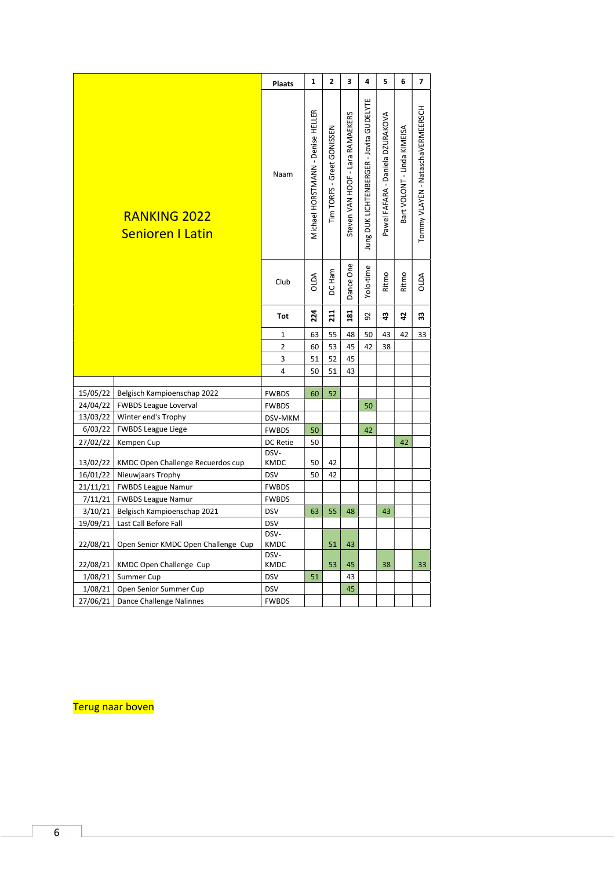<span id="page-5-0"></span>

|          |                                                | <b>Plaats</b>       | $\mathbf{1}$                      | $\mathbf{2}$               | 3                                | 4                                        | 5                                | 6                           | $\overline{\mathbf{z}}$           |
|----------|------------------------------------------------|---------------------|-----------------------------------|----------------------------|----------------------------------|------------------------------------------|----------------------------------|-----------------------------|-----------------------------------|
|          | <b>RANKING 2022</b><br><b>Senioren I Latin</b> | Naam                | Michael HORSTMANN - Denise HELLER | Tim TORFS - Greet GONISSEN | Steven VAN HOOF - Lara RAMAEKERS | Jung DUK LICHTENBERGER - Jovita GUDELYTE | Pawel FAFARA - Daniela DZURAKOVA | Bart VOLONT - Linda KIMEISA | Tommy VLAYEN - NataschaVERMEERSCH |
|          |                                                | Club                | <b>AGIO</b>                       | DC Ham                     | Dance One                        | Yolo-time                                | Ritmo                            | Ritmo                       | <b>AGIO</b>                       |
|          |                                                | Tot                 | 224                               | 211                        | 181                              | 92                                       | $\boldsymbol{a}$                 | 5                           | 33                                |
|          |                                                | $\mathbf 1$         | 63                                | 55                         | 48                               | 50                                       | 43                               | 42                          | 33                                |
|          |                                                | 2                   | 60                                | 53                         | 45                               | 42                                       | 38                               |                             |                                   |
|          |                                                | 3                   | 51                                | 52                         | 45                               |                                          |                                  |                             |                                   |
|          |                                                | 4                   | 50                                | 51                         | 43                               |                                          |                                  |                             |                                   |
|          |                                                |                     |                                   |                            |                                  |                                          |                                  |                             |                                   |
| 15/05/22 | Belgisch Kampioenschap 2022                    | <b>FWBDS</b>        | 60                                | 52                         |                                  |                                          |                                  |                             |                                   |
|          | 24/04/22   FWBDS League Loverval               | <b>FWBDS</b>        |                                   |                            |                                  | 50                                       |                                  |                             |                                   |
| 13/03/22 | Winter end's Trophy                            | DSV-MKM             |                                   |                            |                                  |                                          |                                  |                             |                                   |
| 6/03/22  | <b>FWBDS League Liege</b>                      | <b>FWBDS</b>        | 50                                |                            |                                  | 42                                       |                                  |                             |                                   |
| 27/02/22 | Kempen Cup                                     | DC Retie<br>DSV-    | 50                                |                            |                                  |                                          |                                  | 42                          |                                   |
| 13/02/22 | KMDC Open Challenge Recuerdos cup              | <b>KMDC</b>         | 50                                | 42                         |                                  |                                          |                                  |                             |                                   |
|          | 16/01/22   Nieuwjaars Trophy                   | <b>DSV</b>          | 50                                | 42                         |                                  |                                          |                                  |                             |                                   |
|          | 21/11/21   FWBDS League Namur                  | <b>FWBDS</b>        |                                   |                            |                                  |                                          |                                  |                             |                                   |
|          | 7/11/21   FWBDS League Namur                   | <b>FWBDS</b>        |                                   |                            |                                  |                                          |                                  |                             |                                   |
| 3/10/21  | Belgisch Kampioenschap 2021                    | <b>DSV</b>          | 63                                | 55                         | 48                               |                                          | 43                               |                             |                                   |
| 19/09/21 | Last Call Before Fall                          | <b>DSV</b>          |                                   |                            |                                  |                                          |                                  |                             |                                   |
| 22/08/21 | Open Senior KMDC Open Challenge Cup            | DSV-<br><b>KMDC</b> |                                   | 51                         | 43                               |                                          |                                  |                             |                                   |
| 22/08/21 | KMDC Open Challenge Cup                        | DSV-<br><b>KMDC</b> |                                   | 53                         | 45                               |                                          | 38                               |                             | 33                                |
|          | 1/08/21 Summer Cup                             | <b>DSV</b>          | 51                                |                            | 43                               |                                          |                                  |                             |                                   |
|          | 1/08/21   Open Senior Summer Cup               | <b>DSV</b>          |                                   |                            | 45                               |                                          |                                  |                             |                                   |
|          | 27/06/21 Dance Challenge Nalinnes              | <b>FWBDS</b>        |                                   |                            |                                  |                                          |                                  |                             |                                   |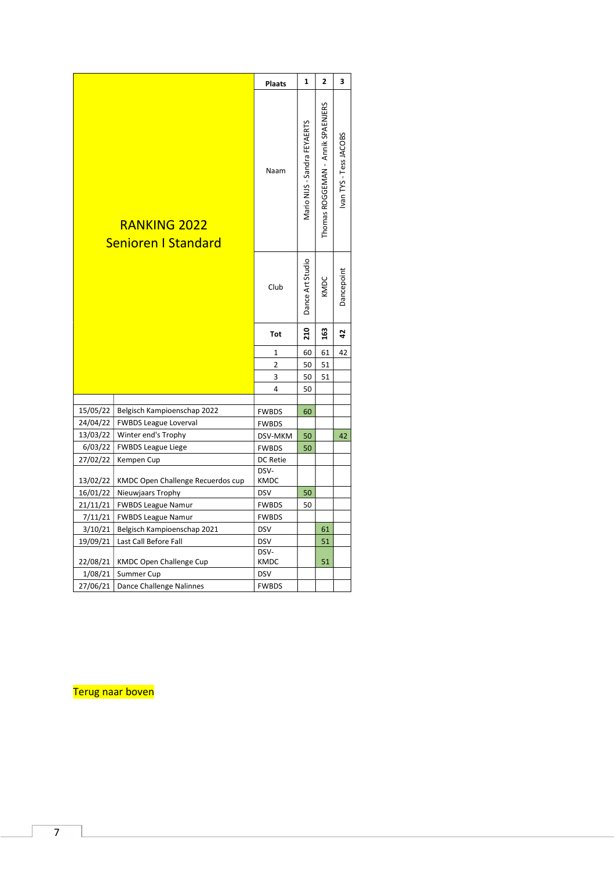<span id="page-6-0"></span>

|                      |                                                   | <b>Plaats</b>                          | 1                            | 2                                 | 3                      |
|----------------------|---------------------------------------------------|----------------------------------------|------------------------------|-----------------------------------|------------------------|
|                      | <b>RANKING 2022</b><br><b>Senioren I Standard</b> | Naam                                   | Mario NIJS - Sandra FEYAERTS | Thomas ROGGEMAN - Annik SPAENJERS | Ivan TYS - Tess JACOBS |
|                      |                                                   | Club                                   | Dance Art Studio             | KMDC                              | Dancepoint             |
|                      |                                                   | <b>Tot</b>                             | 210                          | 163                               | 42                     |
|                      |                                                   | $\mathbf 1$                            | 60                           | 61                                | 42                     |
|                      |                                                   | $\overline{2}$                         | 50                           | 51                                |                        |
|                      |                                                   | 3                                      | 50                           | 51                                |                        |
|                      |                                                   | 4                                      | 50                           |                                   |                        |
|                      |                                                   |                                        |                              |                                   |                        |
| 15/05/22             | Belgisch Kampioenschap 2022                       | <b>FWBDS</b>                           | 60                           |                                   |                        |
| 24/04/22             | <b>FWBDS League Loverval</b>                      | <b>FWBDS</b>                           |                              |                                   |                        |
| 13/03/22             | Winter end's Trophy                               | DSV-MKM                                | 50                           |                                   | 42                     |
| 6/03/22              | <b>FWBDS League Liege</b>                         | <b>FWBDS</b>                           | 50                           |                                   |                        |
| 27/02/22<br>13/02/22 | Kempen Cup<br>KMDC Open Challenge Recuerdos cup   | <b>DC Retie</b><br>DSV-<br><b>KMDC</b> |                              |                                   |                        |
| 16/01/22             | Nieuwjaars Trophy                                 | <b>DSV</b>                             | 50                           |                                   |                        |
| 21/11/21             | <b>FWBDS League Namur</b>                         | <b>FWBDS</b>                           | 50                           |                                   |                        |
| 7/11/21              | <b>FWBDS League Namur</b>                         | <b>FWBDS</b>                           |                              |                                   |                        |
| 3/10/21              | Belgisch Kampioenschap 2021                       | <b>DSV</b>                             |                              | 61                                |                        |
| 19/09/21             | Last Call Before Fall                             | <b>DSV</b>                             |                              | 51                                |                        |
| 22/08/21             | <b>KMDC Open Challenge Cup</b>                    | DSV-<br><b>KMDC</b>                    |                              | 51                                |                        |
| 1/08/21              | Summer Cup                                        | <b>DSV</b>                             |                              |                                   |                        |
| 27/06/21             | Dance Challenge Nalinnes                          | <b>FWBDS</b>                           |                              |                                   |                        |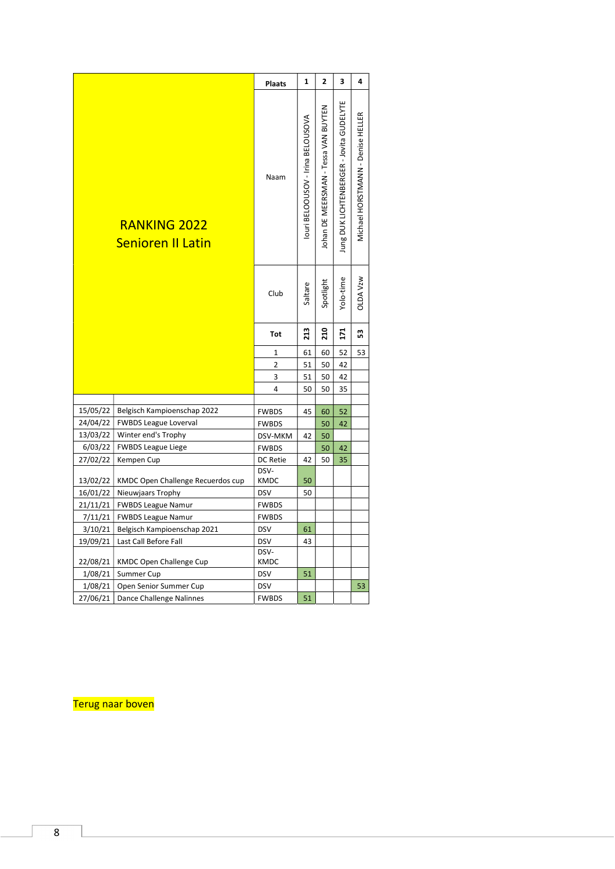<span id="page-7-0"></span>

|                      |                                                     | <b>Plaats</b>           | $\mathbf{1}$                      | $\overline{2}$                       | 3                                       | 4                                 |
|----------------------|-----------------------------------------------------|-------------------------|-----------------------------------|--------------------------------------|-----------------------------------------|-----------------------------------|
|                      | <b>RANKING 2022</b><br><b>Senioren II Latin</b>     | Naam                    | louri BELOOUSOV - Irina BELOUSOVA | Iohan DE MEERSMAN - Tessa VAN BUYTEN | Jung DUK LICHTENBERGER - Jovita GUDELYT | Michael HORSTMANN - Denise HELLER |
|                      |                                                     | Club                    | Saltare                           | Spotlight                            | Yolo-time                               | <b>OLDA Vzw</b>                   |
|                      |                                                     | <b>Tot</b>              | 213                               | 210                                  | 171                                     | 53                                |
|                      |                                                     | 1                       | 61                                | 60                                   | 52                                      | 53                                |
|                      |                                                     | $\overline{2}$          | 51                                | 50                                   | 42                                      |                                   |
|                      |                                                     | 3                       | 51                                | 50                                   | 42                                      |                                   |
|                      |                                                     | 4                       | 50                                | 50                                   | 35                                      |                                   |
|                      |                                                     |                         |                                   |                                      |                                         |                                   |
| 15/05/22             | Belgisch Kampioenschap 2022                         | <b>FWBDS</b>            | 45                                | 60                                   | 52                                      |                                   |
| 24/04/22<br>13/03/22 | <b>FWBDS League Loverval</b><br>Winter end's Trophy | <b>FWBDS</b>            | 42                                | 50                                   | 42                                      |                                   |
| 6/03/22              | <b>FWBDS League Liege</b>                           | DSV-MKM<br><b>FWBDS</b> |                                   | 50<br>50                             | 42                                      |                                   |
| 27/02/22             | Kempen Cup                                          | DC Retie                | 42                                | 50                                   | 35                                      |                                   |
|                      |                                                     | DSV-                    |                                   |                                      |                                         |                                   |
| 13/02/22             | KMDC Open Challenge Recuerdos cup                   | <b>KMDC</b>             | 50                                |                                      |                                         |                                   |
| 16/01/22             | Nieuwjaars Trophy                                   | <b>DSV</b>              | 50                                |                                      |                                         |                                   |
| 21/11/21             | FWBDS League Namur                                  | <b>FWBDS</b>            |                                   |                                      |                                         |                                   |
| 7/11/21              | <b>FWBDS League Namur</b>                           | <b>FWBDS</b>            |                                   |                                      |                                         |                                   |
| 3/10/21              | Belgisch Kampioenschap 2021                         | <b>DSV</b>              | 61                                |                                      |                                         |                                   |
| 19/09/21             | Last Call Before Fall                               | <b>DSV</b>              | 43                                |                                      |                                         |                                   |
| 22/08/21             | KMDC Open Challenge Cup                             | DSV-<br>KMDC            |                                   |                                      |                                         |                                   |
|                      | $1/08/21$ Summer Cup                                | <b>DSV</b>              | 51                                |                                      |                                         |                                   |
|                      | 1/08/21   Open Senior Summer Cup                    | <b>DSV</b>              |                                   |                                      |                                         | 53                                |
| 27/06/21             | Dance Challenge Nalinnes                            | <b>FWBDS</b>            | 51                                |                                      |                                         |                                   |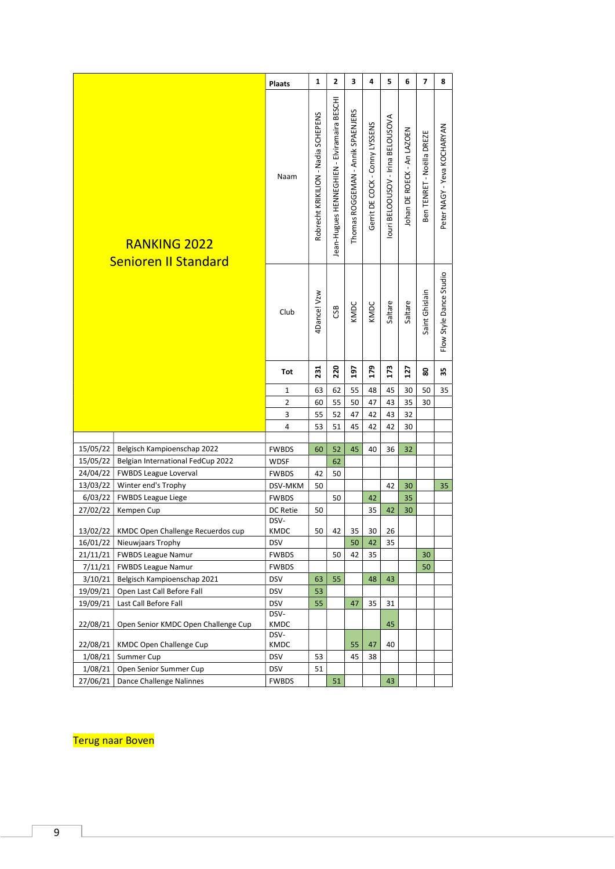<span id="page-8-0"></span>

|          |                                                    | <b>Plaats</b>       | $\mathbf{1}$                        | 2                                           | 3                                 | 4                              | 5                                 | 6                          | $\overline{7}$            | 8                           |
|----------|----------------------------------------------------|---------------------|-------------------------------------|---------------------------------------------|-----------------------------------|--------------------------------|-----------------------------------|----------------------------|---------------------------|-----------------------------|
|          | <b>RANKING 2022</b><br><b>Senioren II Standard</b> | Naam                | Robrecht KRIKILION - Nadia SCHEPENS | Jean-Hugues HENNEGHIEN - Elviramaira BESCHI | Thomas ROGGEMAN - Annik SPAENJERS | Gerrit DE COCK - Conny LYSSENS | louri BELOOUSOV - Irina BELOUSOVA | Johan DE ROECK - An LAZOEN | Ben TENRET - Noëlla DREZE | Peter NAGY - Yeva KOCHARYAN |
|          |                                                    | Club                | 4Dance! Vzw                         | CSB                                         | KMDC                              | KMDC                           | Saltare                           | Saltare                    | Saint Ghislain            | Flow Style Dance Studio     |
|          |                                                    | Tot                 | 231                                 | 220                                         | 197                               | 179                            | 173                               | 127                        | 8                         | 35                          |
|          |                                                    | 1                   | 63                                  | 62                                          | 55                                | 48                             | 45                                | 30                         | 50                        | 35                          |
|          |                                                    | 2                   | 60                                  | 55                                          | 50                                | 47                             | 43                                | 35                         | 30                        |                             |
|          |                                                    | 3                   | 55                                  | 52                                          | 47                                | 42                             | 43                                | 32                         |                           |                             |
|          |                                                    | 4                   | 53                                  | 51                                          | 45                                | 42                             | 42                                | 30                         |                           |                             |
|          |                                                    |                     |                                     |                                             |                                   |                                |                                   |                            |                           |                             |
| 15/05/22 | Belgisch Kampioenschap 2022                        | <b>FWBDS</b>        | 60                                  | 52                                          | 45                                | 40                             | 36                                | 32                         |                           |                             |
| 15/05/22 | Belgian International FedCup 2022                  | <b>WDSF</b>         |                                     | 62                                          |                                   |                                |                                   |                            |                           |                             |
| 24/04/22 | <b>FWBDS League Loverval</b>                       | <b>FWBDS</b>        | 42                                  | 50                                          |                                   |                                |                                   |                            |                           |                             |
| 13/03/22 | Winter end's Trophy                                | DSV-MKM             | 50                                  |                                             |                                   |                                | 42                                | 30                         |                           | 35                          |
| 6/03/22  | <b>FWBDS League Liege</b>                          | <b>FWBDS</b>        |                                     | 50                                          |                                   | 42                             |                                   | 35                         |                           |                             |
| 27/02/22 | Kempen Cup                                         | DC Retie            | 50                                  |                                             |                                   | 35                             | 42                                | 30                         |                           |                             |
|          | 13/02/22   KMDC Open Challenge Recuerdos cup       | DSV-<br><b>KMDC</b> | 50                                  | 42                                          | 35                                | 30                             | 26                                |                            |                           |                             |
| 16/01/22 | Nieuwjaars Trophy                                  | <b>DSV</b>          |                                     |                                             | 50                                | 42                             | 35                                |                            |                           |                             |
| 21/11/21 | <b>FWBDS League Namur</b>                          | <b>FWBDS</b>        |                                     | 50                                          | 42                                | 35                             |                                   |                            | 30                        |                             |
| 7/11/21  | <b>FWBDS League Namur</b>                          | <b>FWBDS</b>        |                                     |                                             |                                   |                                |                                   |                            | 50                        |                             |
| 3/10/21  | Belgisch Kampioenschap 2021                        | <b>DSV</b>          | 63                                  | 55                                          |                                   | 48                             | 43                                |                            |                           |                             |
| 19/09/21 | Open Last Call Before Fall                         | <b>DSV</b>          | 53                                  |                                             |                                   |                                |                                   |                            |                           |                             |
| 19/09/21 | Last Call Before Fall                              | <b>DSV</b>          | 55                                  |                                             | 47                                | 35                             | 31                                |                            |                           |                             |
| 22/08/21 | Open Senior KMDC Open Challenge Cup                | DSV-<br><b>KMDC</b> |                                     |                                             |                                   |                                | 45                                |                            |                           |                             |
|          |                                                    | DSV-                |                                     |                                             |                                   |                                |                                   |                            |                           |                             |
| 22/08/21 | <b>KMDC Open Challenge Cup</b>                     | KMDC                |                                     |                                             | 55                                | 47                             | 40                                |                            |                           |                             |
| 1/08/21  | Summer Cup                                         | <b>DSV</b>          | 53                                  |                                             | 45                                | 38                             |                                   |                            |                           |                             |
| 1/08/21  | Open Senior Summer Cup                             | <b>DSV</b>          | 51                                  |                                             |                                   |                                |                                   |                            |                           |                             |
| 27/06/21 | Dance Challenge Nalinnes                           | <b>FWBDS</b>        |                                     | 51                                          |                                   |                                | 43                                |                            |                           |                             |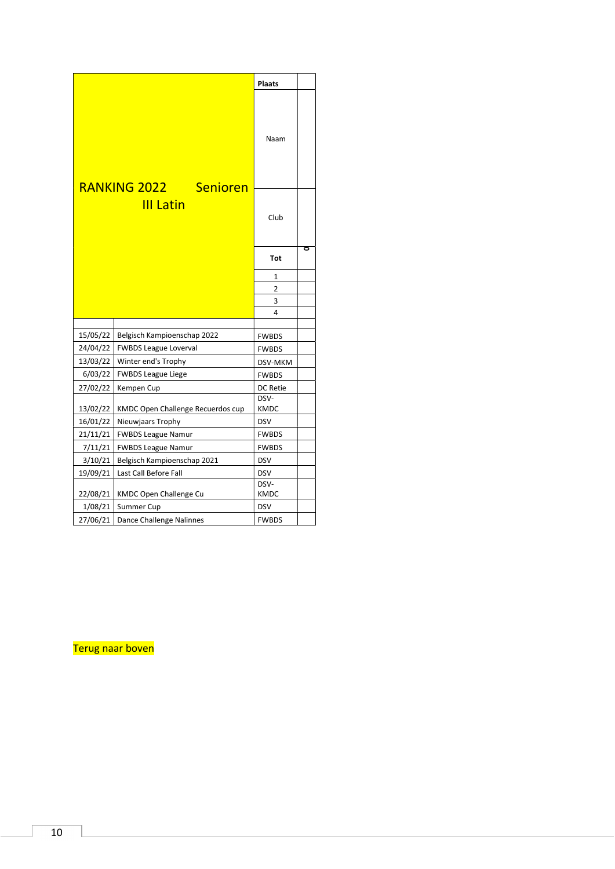<span id="page-9-0"></span>

|          |                                           | <b>Plaats</b>  |   |
|----------|-------------------------------------------|----------------|---|
|          |                                           | Naam           |   |
|          | RANKING 2022 Senioren<br><b>III Latin</b> | Club           | ō |
|          |                                           | Tot            |   |
|          |                                           | 1              |   |
|          |                                           | $\overline{2}$ |   |
|          |                                           | 3              |   |
|          |                                           | $\overline{4}$ |   |
| 15/05/22 | Belgisch Kampioenschap 2022               | <b>FWBDS</b>   |   |
| 24/04/22 | <b>FWBDS League Loverval</b>              | <b>FWBDS</b>   |   |
| 13/03/22 | Winter end's Trophy                       | DSV-MKM        |   |
| 6/03/22  | <b>FWBDS League Liege</b>                 | <b>FWBDS</b>   |   |
| 27/02/22 | Kempen Cup                                | DC Retie       |   |
| 13/02/22 | KMDC Open Challenge Recuerdos cup         | DSV-<br>KMDC   |   |
| 16/01/22 | Nieuwjaars Trophy                         | <b>DSV</b>     |   |
| 21/11/21 | <b>FWBDS League Namur</b>                 | <b>FWBDS</b>   |   |
| 7/11/21  | <b>FWBDS League Namur</b>                 | <b>FWBDS</b>   |   |
| 3/10/21  | Belgisch Kampioenschap 2021               | <b>DSV</b>     |   |
| 19/09/21 | Last Call Before Fall                     | <b>DSV</b>     |   |
| 22/08/21 | KMDC Open Challenge Cu                    | DSV-<br>KMDC   |   |
| 1/08/21  | Summer Cup                                | <b>DSV</b>     |   |
| 27/06/21 | Dance Challenge Nalinnes                  | <b>FWBDS</b>   |   |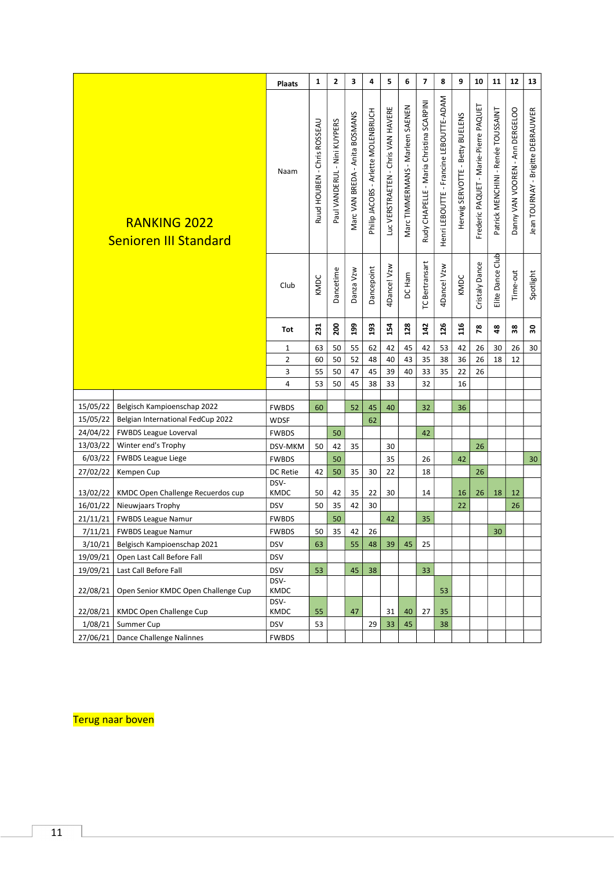<span id="page-10-0"></span>

|          |                                                     | <b>Plaats</b>  | $\mathbf{1}$                | $\mathbf 2$                  | 3                              | 4                                  | 5                                  | 6                                | $\overline{\mathbf{z}}$                  | 8                                       | 9                               | ${\bf 10}$                            | 11                                 | 12                              | 13                                |  |
|----------|-----------------------------------------------------|----------------|-----------------------------|------------------------------|--------------------------------|------------------------------------|------------------------------------|----------------------------------|------------------------------------------|-----------------------------------------|---------------------------------|---------------------------------------|------------------------------------|---------------------------------|-----------------------------------|--|
|          | <b>RANKING 2022</b><br><b>Senioren III Standard</b> | Naam           | Ruud HOUBEN - Chris ROSSEAU | Paul VANDERUL - Nini KUYPERS | Marc VAN BREDA - Anita BOSMANS | Philip JACOBS - Arlette MOLENBRUCH | Luc VERSTRAETEN - Chris VAN HAVERE | Marc TIMMERMANS - Marleen SAENEN | Rudy CHAPELLE - Maria Christina SCARPINI | Henri LEBOUTTE - Francine LEBOUTTE-ADAM | Herwig SERVOTTE - Betty BUELENS | Frederic PAQUET - Marie-Pierre PAQUET | Patrick MENCHINI - Renée TOUSSAINT | Danny VAN VOOREN - Ann DERGELOO | Jean TOURNAY - Brigitte DEBRAUWER |  |
|          |                                                     | Club           | KMDC                        | Dancetime                    | Danza Vzw                      | Dancepoint                         | 4Dance! Vzw                        | DC Ham                           | TC Bertransart                           | 4Dance! Vzw                             | KMDC                            | Cristaly Dance                        | Elite Dance Club                   | Time-out                        | Spotlight                         |  |
|          |                                                     | Tot            | 231                         | 200                          | 199                            | 193                                | 154                                | 128                              | 142                                      | 126                                     | 116                             | 78                                    | $\bf{48}$                          | $38\,$                          | $30\,$                            |  |
|          |                                                     | $\mathbf{1}$   | 63                          | 50                           | 55                             | 62                                 | 42                                 | 45                               | 42                                       | 53                                      | 42                              | 26                                    | 30                                 | 26                              | 30                                |  |
|          |                                                     | $\overline{2}$ | 60                          | 50                           | 52                             | 48                                 | 40                                 | 43                               | 35                                       | 38                                      | 36                              | 26                                    | 18                                 | 12                              |                                   |  |
|          |                                                     | 3              | 55                          | 50                           | $47\,$                         | 45                                 | 39                                 | 40                               | 33                                       | 35                                      | 22                              | 26                                    |                                    |                                 |                                   |  |
|          |                                                     | 4              | 53                          | 50                           | 45                             | 38                                 | 33                                 |                                  | 32                                       |                                         | 16                              |                                       |                                    |                                 |                                   |  |
|          |                                                     |                |                             |                              |                                |                                    |                                    |                                  |                                          |                                         |                                 |                                       |                                    |                                 |                                   |  |
| 15/05/22 | Belgisch Kampioenschap 2022                         | <b>FWBDS</b>   | 60                          |                              | 52                             | 45                                 | 40                                 |                                  | 32                                       |                                         | 36                              |                                       |                                    |                                 |                                   |  |
| 15/05/22 | Belgian International FedCup 2022                   | <b>WDSF</b>    |                             |                              |                                | 62                                 |                                    |                                  |                                          |                                         |                                 |                                       |                                    |                                 |                                   |  |
| 24/04/22 | <b>FWBDS League Loverval</b>                        | <b>FWBDS</b>   |                             | 50                           |                                |                                    |                                    |                                  | 42                                       |                                         |                                 |                                       |                                    |                                 |                                   |  |
| 13/03/22 | Winter end's Trophy                                 | DSV-MKM        | 50                          | 42                           | 35                             |                                    | 30                                 |                                  |                                          |                                         |                                 | 26                                    |                                    |                                 |                                   |  |
| 6/03/22  | <b>FWBDS League Liege</b>                           | <b>FWBDS</b>   |                             | 50                           |                                |                                    | 35                                 |                                  | 26                                       |                                         | 42                              |                                       |                                    |                                 | 30                                |  |
| 27/02/22 | Kempen Cup                                          | DC Retie       | 42                          | 50                           | 35                             | 30                                 | 22                                 |                                  | 18                                       |                                         |                                 | 26                                    |                                    |                                 |                                   |  |
| 13/02/22 | KMDC Open Challenge Recuerdos cup                   | DSV-<br>KMDC   | 50                          | 42                           | 35                             | 22                                 | 30                                 |                                  | 14                                       |                                         | 16                              | 26                                    | 18                                 | 12                              |                                   |  |
| 16/01/22 | Nieuwjaars Trophy                                   | <b>DSV</b>     | 50                          | 35                           | 42                             | 30                                 |                                    |                                  |                                          |                                         | 22                              |                                       |                                    | 26                              |                                   |  |
| 21/11/21 | <b>FWBDS League Namur</b>                           | <b>FWBDS</b>   |                             | 50                           |                                |                                    | 42                                 |                                  | 35                                       |                                         |                                 |                                       |                                    |                                 |                                   |  |
| 7/11/21  | FWBDS League Namur                                  | <b>FWBDS</b>   | 50                          | 35                           | 42                             | 26                                 |                                    |                                  |                                          |                                         |                                 |                                       | 30                                 |                                 |                                   |  |
| 3/10/21  | Belgisch Kampioenschap 2021                         | <b>DSV</b>     | 63                          |                              | 55                             | 48                                 | 39                                 | 45                               | 25                                       |                                         |                                 |                                       |                                    |                                 |                                   |  |
| 19/09/21 | Open Last Call Before Fall                          | <b>DSV</b>     |                             |                              |                                |                                    |                                    |                                  |                                          |                                         |                                 |                                       |                                    |                                 |                                   |  |
| 19/09/21 | Last Call Before Fall                               | <b>DSV</b>     | 53                          |                              | 45                             | 38                                 |                                    |                                  | 33                                       |                                         |                                 |                                       |                                    |                                 |                                   |  |
| 22/08/21 | Open Senior KMDC Open Challenge Cup                 | DSV-<br>KMDC   |                             |                              |                                |                                    |                                    |                                  |                                          | 53                                      |                                 |                                       |                                    |                                 |                                   |  |
| 22/08/21 | KMDC Open Challenge Cup                             | DSV-<br>KMDC   | 55                          |                              | 47                             |                                    | 31                                 | 40                               | 27                                       | 35                                      |                                 |                                       |                                    |                                 |                                   |  |
|          | $1/08/21$ Summer Cup                                | <b>DSV</b>     | 53                          |                              |                                | 29                                 | 33                                 | 45                               |                                          | 38                                      |                                 |                                       |                                    |                                 |                                   |  |
|          | 27/06/21 Dance Challenge Nalinnes                   | <b>FWBDS</b>   |                             |                              |                                |                                    |                                    |                                  |                                          |                                         |                                 |                                       |                                    |                                 |                                   |  |
|          |                                                     |                |                             |                              |                                |                                    |                                    |                                  |                                          |                                         |                                 |                                       |                                    |                                 |                                   |  |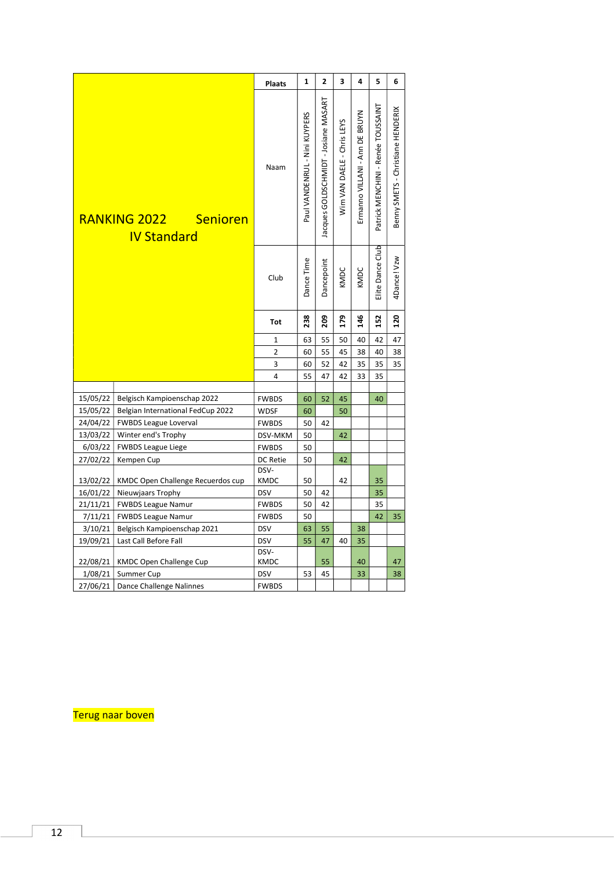<span id="page-11-0"></span>

|          |                                                | <b>Plaats</b>       | $\mathbf{1}$                  | $\overline{2}$                       | $\overline{\mathbf{3}}$    | $\overline{\mathbf{4}}$        | 5                                  | 6                                 |
|----------|------------------------------------------------|---------------------|-------------------------------|--------------------------------------|----------------------------|--------------------------------|------------------------------------|-----------------------------------|
|          |                                                |                     |                               |                                      |                            |                                |                                    |                                   |
|          | RANKING 2022<br>Senioren<br><b>IV Standard</b> | Naam                | Paul VANDENRUL - Nini KUYPERS | lacques GOLDSCHMIDT - Josiane MASART | Wim VAN DAELE - Chris LEYS | Ermanno VILLANI - Ann DE BRUYN | Patrick MENCHINI - Renée TOUSSAINT | Benny SMETS - Christiane HENDERIX |
|          |                                                | Club                | Dance Time                    | Dancepoint                           | KMDC                       | KMDC                           | Elite Dance Club                   | 4Dance! Vzw                       |
|          |                                                | Tot                 | 238                           | 209                                  | 179                        | 146                            | 152                                | 120                               |
|          |                                                | $\mathbf{1}$        | 63                            | 55                                   | 50                         | 40                             | 42                                 | 47                                |
|          |                                                | $\overline{2}$      | 60                            | 55                                   | 45                         | 38                             | 40                                 | 38                                |
|          |                                                | 3                   | 60                            | 52                                   | 42                         | 35                             | 35                                 | 35                                |
|          |                                                | $\overline{4}$      | 55                            | 47                                   | 42                         | 33                             | 35                                 |                                   |
|          |                                                |                     |                               |                                      |                            |                                |                                    |                                   |
| 15/05/22 | Belgisch Kampioenschap 2022                    | <b>FWBDS</b>        | 60                            | 52                                   | 45                         |                                | 40                                 |                                   |
| 15/05/22 | Belgian International FedCup 2022              | <b>WDSF</b>         | 60                            |                                      | 50                         |                                |                                    |                                   |
| 24/04/22 | <b>FWBDS League Loverval</b>                   | <b>FWBDS</b>        | 50                            | 42                                   |                            |                                |                                    |                                   |
| 13/03/22 | Winter end's Trophy                            | DSV-MKM             | 50                            |                                      | 42                         |                                |                                    |                                   |
| 6/03/22  | <b>FWBDS League Liege</b>                      | <b>FWBDS</b>        | 50                            |                                      |                            |                                |                                    |                                   |
| 27/02/22 | Kempen Cup                                     | DC Retie            | 50                            |                                      | 42                         |                                |                                    |                                   |
| 13/02/22 | KMDC Open Challenge Recuerdos cup              | DSV-<br><b>KMDC</b> | 50                            |                                      | 42                         |                                | 35                                 |                                   |
| 16/01/22 | Nieuwjaars Trophy                              | <b>DSV</b>          | 50                            | 42                                   |                            |                                | 35                                 |                                   |
| 21/11/21 | <b>FWBDS League Namur</b>                      | <b>FWBDS</b>        | 50                            | 42                                   |                            |                                | 35                                 |                                   |
| 7/11/21  | <b>FWBDS League Namur</b>                      | <b>FWBDS</b>        | 50                            |                                      |                            |                                | 42                                 | 35                                |
| 3/10/21  | Belgisch Kampioenschap 2021                    | <b>DSV</b>          | 63                            | 55                                   |                            | 38                             |                                    |                                   |
| 19/09/21 | Last Call Before Fall                          | <b>DSV</b>          | 55                            | 47                                   | 40                         | 35                             |                                    |                                   |
|          | 22/08/21   KMDC Open Challenge Cup             | DSV-<br><b>KMDC</b> |                               | 55                                   |                            | 40                             |                                    | 47                                |
|          | 1/08/21   Summer Cup                           | <b>DSV</b>          | 53                            | 45                                   |                            | 33                             |                                    | 38                                |
|          | 27/06/21   Dance Challenge Nalinnes            | <b>FWBDS</b>        |                               |                                      |                            |                                |                                    |                                   |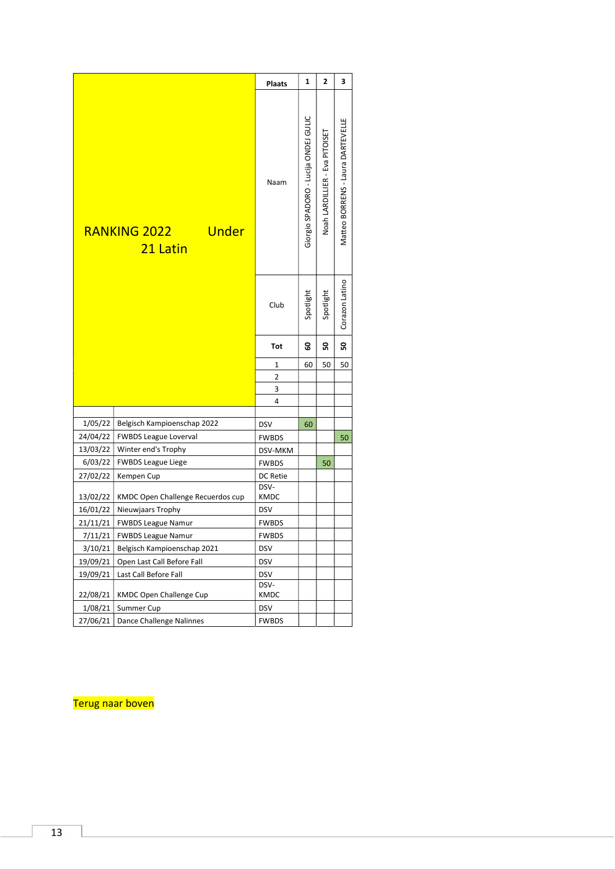<span id="page-12-0"></span>

| Giorgio SPADORO - Lucija ONDEJ GULIC<br>Matteo BORRENS - Laura DARTEVELLE<br>Noah LARDILLIER - Eva PITOISET<br>Naam<br>RANKING 2022<br><b>Under</b><br>21 Latin<br>Corazon Latino<br>Spotlight<br>Spotlight<br>Club<br>ន<br>ន<br>3<br>Tot<br>60<br>50<br>50<br>1<br>2<br>3<br>4<br>1/05/22<br>Belgisch Kampioenschap 2022<br><b>DSV</b><br>60<br>24/04/22<br><b>FWBDS League Loverval</b><br><b>FWBDS</b><br>50<br>13/03/22<br>Winter end's Trophy<br>DSV-MKM<br>6/03/22<br><b>FWBDS League Liege</b><br><b>FWBDS</b><br>50<br>27/02/22<br>Kempen Cup<br>DC Retie<br>DSV-<br>KMDC<br>13/02/22<br>KMDC Open Challenge Recuerdos cup<br><b>DSV</b><br>16/01/22<br>Nieuwjaars Trophy<br><b>FWBDS</b><br>21/11/21<br><b>FWBDS League Namur</b><br>7/11/21   FWBDS League Namur<br><b>FWBDS</b><br>Belgisch Kampioenschap 2021<br>3/10/21<br><b>DSV</b><br>Open Last Call Before Fall<br>19/09/21<br><b>DSV</b><br>19/09/21<br>Last Call Before Fall<br><b>DSV</b><br>DSV-<br>22/08/21<br>KMDC Open Challenge Cup<br>KMDC<br>1/08/21<br>Summer Cup<br><b>DSV</b><br>27/06/21<br>Dance Challenge Nalinnes<br><b>FWBDS</b> |  | <b>Plaats</b> | 1 | 2 | 3 |  |
|---------------------------------------------------------------------------------------------------------------------------------------------------------------------------------------------------------------------------------------------------------------------------------------------------------------------------------------------------------------------------------------------------------------------------------------------------------------------------------------------------------------------------------------------------------------------------------------------------------------------------------------------------------------------------------------------------------------------------------------------------------------------------------------------------------------------------------------------------------------------------------------------------------------------------------------------------------------------------------------------------------------------------------------------------------------------------------------------------------------------|--|---------------|---|---|---|--|
|                                                                                                                                                                                                                                                                                                                                                                                                                                                                                                                                                                                                                                                                                                                                                                                                                                                                                                                                                                                                                                                                                                                     |  |               |   |   |   |  |
|                                                                                                                                                                                                                                                                                                                                                                                                                                                                                                                                                                                                                                                                                                                                                                                                                                                                                                                                                                                                                                                                                                                     |  |               |   |   |   |  |
|                                                                                                                                                                                                                                                                                                                                                                                                                                                                                                                                                                                                                                                                                                                                                                                                                                                                                                                                                                                                                                                                                                                     |  |               |   |   |   |  |
|                                                                                                                                                                                                                                                                                                                                                                                                                                                                                                                                                                                                                                                                                                                                                                                                                                                                                                                                                                                                                                                                                                                     |  |               |   |   |   |  |
|                                                                                                                                                                                                                                                                                                                                                                                                                                                                                                                                                                                                                                                                                                                                                                                                                                                                                                                                                                                                                                                                                                                     |  |               |   |   |   |  |
|                                                                                                                                                                                                                                                                                                                                                                                                                                                                                                                                                                                                                                                                                                                                                                                                                                                                                                                                                                                                                                                                                                                     |  |               |   |   |   |  |
|                                                                                                                                                                                                                                                                                                                                                                                                                                                                                                                                                                                                                                                                                                                                                                                                                                                                                                                                                                                                                                                                                                                     |  |               |   |   |   |  |
|                                                                                                                                                                                                                                                                                                                                                                                                                                                                                                                                                                                                                                                                                                                                                                                                                                                                                                                                                                                                                                                                                                                     |  |               |   |   |   |  |
|                                                                                                                                                                                                                                                                                                                                                                                                                                                                                                                                                                                                                                                                                                                                                                                                                                                                                                                                                                                                                                                                                                                     |  |               |   |   |   |  |
|                                                                                                                                                                                                                                                                                                                                                                                                                                                                                                                                                                                                                                                                                                                                                                                                                                                                                                                                                                                                                                                                                                                     |  |               |   |   |   |  |
|                                                                                                                                                                                                                                                                                                                                                                                                                                                                                                                                                                                                                                                                                                                                                                                                                                                                                                                                                                                                                                                                                                                     |  |               |   |   |   |  |
|                                                                                                                                                                                                                                                                                                                                                                                                                                                                                                                                                                                                                                                                                                                                                                                                                                                                                                                                                                                                                                                                                                                     |  |               |   |   |   |  |
|                                                                                                                                                                                                                                                                                                                                                                                                                                                                                                                                                                                                                                                                                                                                                                                                                                                                                                                                                                                                                                                                                                                     |  |               |   |   |   |  |
|                                                                                                                                                                                                                                                                                                                                                                                                                                                                                                                                                                                                                                                                                                                                                                                                                                                                                                                                                                                                                                                                                                                     |  |               |   |   |   |  |
|                                                                                                                                                                                                                                                                                                                                                                                                                                                                                                                                                                                                                                                                                                                                                                                                                                                                                                                                                                                                                                                                                                                     |  |               |   |   |   |  |
|                                                                                                                                                                                                                                                                                                                                                                                                                                                                                                                                                                                                                                                                                                                                                                                                                                                                                                                                                                                                                                                                                                                     |  |               |   |   |   |  |
|                                                                                                                                                                                                                                                                                                                                                                                                                                                                                                                                                                                                                                                                                                                                                                                                                                                                                                                                                                                                                                                                                                                     |  |               |   |   |   |  |
|                                                                                                                                                                                                                                                                                                                                                                                                                                                                                                                                                                                                                                                                                                                                                                                                                                                                                                                                                                                                                                                                                                                     |  |               |   |   |   |  |
|                                                                                                                                                                                                                                                                                                                                                                                                                                                                                                                                                                                                                                                                                                                                                                                                                                                                                                                                                                                                                                                                                                                     |  |               |   |   |   |  |
|                                                                                                                                                                                                                                                                                                                                                                                                                                                                                                                                                                                                                                                                                                                                                                                                                                                                                                                                                                                                                                                                                                                     |  |               |   |   |   |  |
|                                                                                                                                                                                                                                                                                                                                                                                                                                                                                                                                                                                                                                                                                                                                                                                                                                                                                                                                                                                                                                                                                                                     |  |               |   |   |   |  |
|                                                                                                                                                                                                                                                                                                                                                                                                                                                                                                                                                                                                                                                                                                                                                                                                                                                                                                                                                                                                                                                                                                                     |  |               |   |   |   |  |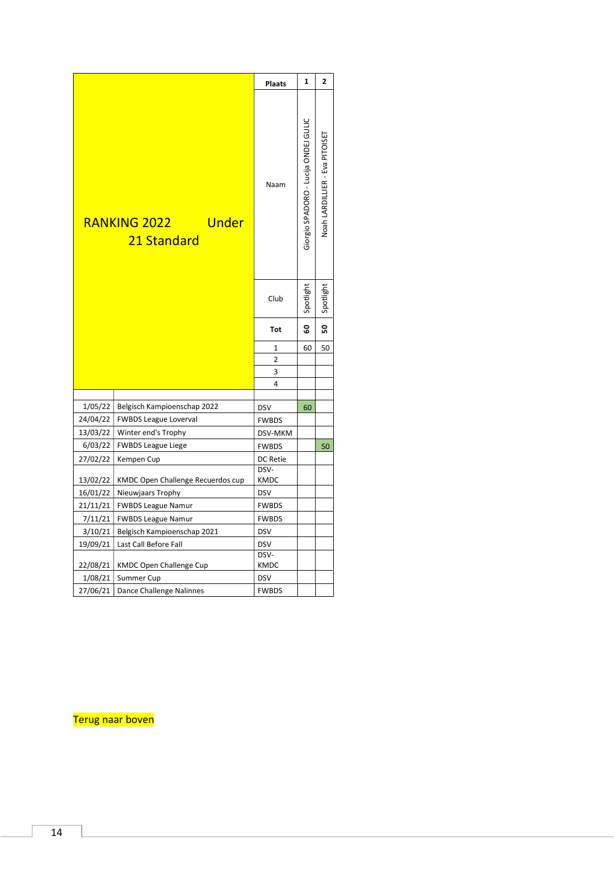<span id="page-13-0"></span>

|                                      |                                     | <b>Plaats</b>  | $\mathbf{1}$                         | 2                              |  |
|--------------------------------------|-------------------------------------|----------------|--------------------------------------|--------------------------------|--|
| RANKING 2022<br>Under<br>21 Standard |                                     | Naam           | Giorgio SPADORO - Lucija ONDEJ GULIC | Noah LARDILLIER - Eva PITOISET |  |
|                                      |                                     | Club           | Spotlight                            | Spotlight                      |  |
|                                      |                                     | <b>Tot</b>     | 3                                    | ន                              |  |
|                                      |                                     | 1              | 60                                   | 50                             |  |
|                                      |                                     | $\overline{2}$ |                                      |                                |  |
|                                      |                                     | 3              |                                      |                                |  |
|                                      |                                     | 4              |                                      |                                |  |
| 1/05/22                              | Belgisch Kampioenschap 2022         | <b>DSV</b>     | 60                                   |                                |  |
| 24/04/22                             | <b>FWBDS League Loverval</b>        | <b>FWBDS</b>   |                                      |                                |  |
| 13/03/22                             | Winter end's Trophy                 | DSV-MKM        |                                      |                                |  |
| 6/03/22                              | <b>FWBDS League Liege</b>           | <b>FWBDS</b>   |                                      | 50                             |  |
| 27/02/22                             | Kempen Cup                          | DC Retie       |                                      |                                |  |
| 13/02/22                             | KMDC Open Challenge Recuerdos cup   | DSV-<br>KMDC   |                                      |                                |  |
| 16/01/22                             | Nieuwjaars Trophy                   | <b>DSV</b>     |                                      |                                |  |
| 21/11/21                             | <b>FWBDS League Namur</b>           | <b>FWBDS</b>   |                                      |                                |  |
| 7/11/21                              | <b>FWBDS League Namur</b>           | <b>FWBDS</b>   |                                      |                                |  |
| 3/10/21                              | Belgisch Kampioenschap 2021         | <b>DSV</b>     |                                      |                                |  |
| 19/09/21                             | Last Call Before Fall               | <b>DSV</b>     |                                      |                                |  |
| 22/08/21                             | KMDC Open Challenge Cup             | DSV-<br>KMDC   |                                      |                                |  |
| 1/08/21                              | Summer Cup                          | <b>DSV</b>     |                                      |                                |  |
|                                      | 27/06/21   Dance Challenge Nalinnes | <b>FWBDS</b>   |                                      |                                |  |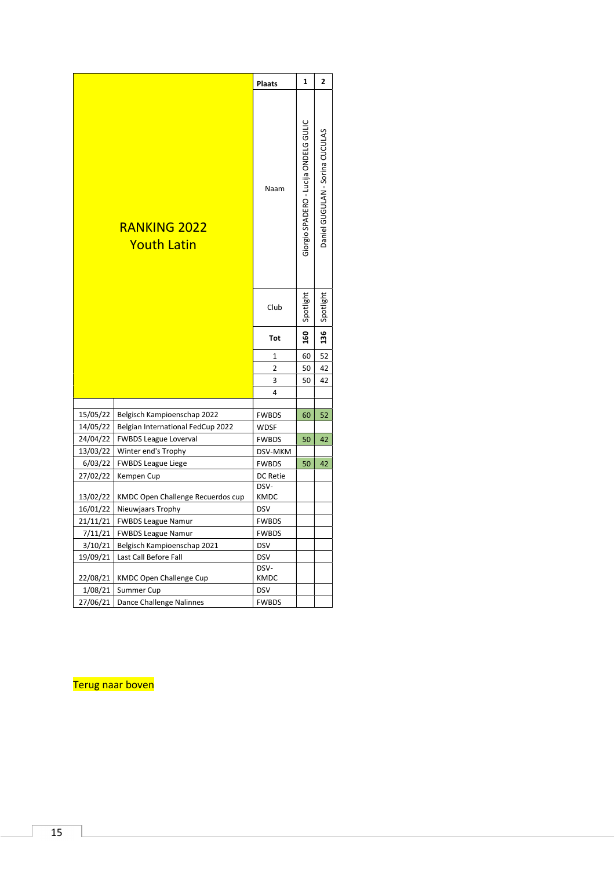<span id="page-14-0"></span>

|                      |                                                     | <b>Plaats</b>           | $\mathbf{1}$                          | $\mathbf{z}$                    |  |
|----------------------|-----------------------------------------------------|-------------------------|---------------------------------------|---------------------------------|--|
|                      | <b>RANKING 2022</b><br><b>Youth Latin</b>           | Naam                    | Giorgio SPADERO - Lucija ONDELG GULIC | Daniel GUGULAN - Sorina CUCULAS |  |
|                      |                                                     | Club                    | Spotlight                             | Spotlight                       |  |
|                      |                                                     | Tot                     | 160                                   | 136                             |  |
|                      |                                                     | 1                       | 60                                    | 52                              |  |
|                      |                                                     | 2                       | 50                                    | 42                              |  |
|                      |                                                     | 3                       | 50                                    | 42                              |  |
|                      |                                                     | 4                       |                                       |                                 |  |
|                      |                                                     |                         |                                       |                                 |  |
| 15/05/22             | Belgisch Kampioenschap 2022                         | <b>FWBDS</b>            | 60                                    | 52                              |  |
| 14/05/22             | Belgian International FedCup 2022                   | <b>WDSF</b>             |                                       |                                 |  |
| 24/04/22<br>13/03/22 | <b>FWBDS League Loverval</b><br>Winter end's Trophy | <b>FWBDS</b>            | 50                                    | 42                              |  |
| 6/03/22              | <b>FWBDS League Liege</b>                           | DSV-MKM<br><b>FWBDS</b> | 50                                    | 42                              |  |
| 27/02/22             | Kempen Cup                                          | DC Retie                |                                       |                                 |  |
| 13/02/22             | KMDC Open Challenge Recuerdos cup                   | DSV-<br>KMDC            |                                       |                                 |  |
| 16/01/22             | Nieuwjaars Trophy                                   | <b>DSV</b>              |                                       |                                 |  |
| 21/11/21             | <b>FWBDS League Namur</b>                           | <b>FWBDS</b>            |                                       |                                 |  |
| 7/11/21              | <b>FWBDS League Namur</b>                           | <b>FWBDS</b>            |                                       |                                 |  |
| 3/10/21              | Belgisch Kampioenschap 2021                         | <b>DSV</b>              |                                       |                                 |  |
| 19/09/21             | Last Call Before Fall                               | <b>DSV</b>              |                                       |                                 |  |
| 22/08/21             | <b>KMDC Open Challenge Cup</b>                      | DSV-<br><b>KMDC</b>     |                                       |                                 |  |
| 1/08/21              | Summer Cup                                          | <b>DSV</b>              |                                       |                                 |  |
| 27/06/21             | Dance Challenge Nalinnes                            | <b>FWBDS</b>            |                                       |                                 |  |